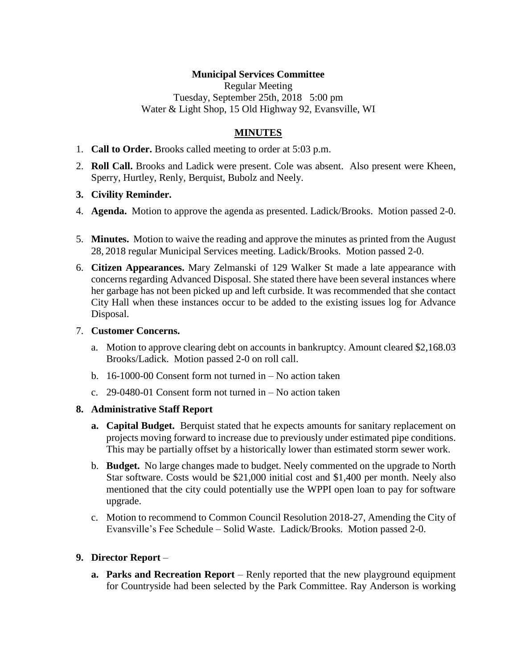### **Municipal Services Committee**

Regular Meeting Tuesday, September 25th, 2018 5:00 pm Water & Light Shop, 15 Old Highway 92, Evansville, WI

## **MINUTES**

- 1. **Call to Order.** Brooks called meeting to order at 5:03 p.m.
- 2. **Roll Call.** Brooks and Ladick were present. Cole was absent. Also present were Kheen, Sperry, Hurtley, Renly, Berquist, Bubolz and Neely.
- **3. Civility Reminder.**
- 4. **Agenda.** Motion to approve the agenda as presented. Ladick/Brooks. Motion passed 2-0.
- 5. **Minutes.** Motion to waive the reading and approve the minutes as printed from the August 28, 2018 regular Municipal Services meeting. Ladick/Brooks. Motion passed 2-0.
- 6. **Citizen Appearances.** Mary Zelmanski of 129 Walker St made a late appearance with concerns regarding Advanced Disposal. She stated there have been several instances where her garbage has not been picked up and left curbside. It was recommended that she contact City Hall when these instances occur to be added to the existing issues log for Advance Disposal.

#### 7. **Customer Concerns.**

- a. Motion to approve clearing debt on accounts in bankruptcy. Amount cleared \$2,168.03 Brooks/Ladick. Motion passed 2-0 on roll call.
- b. 16-1000-00 Consent form not turned in No action taken
- c. 29-0480-01 Consent form not turned in No action taken

#### **8. Administrative Staff Report**

- **a. Capital Budget.** Berquist stated that he expects amounts for sanitary replacement on projects moving forward to increase due to previously under estimated pipe conditions. This may be partially offset by a historically lower than estimated storm sewer work.
- b. **Budget.** No large changes made to budget. Neely commented on the upgrade to North Star software. Costs would be \$21,000 initial cost and \$1,400 per month. Neely also mentioned that the city could potentially use the WPPI open loan to pay for software upgrade.
- c. Motion to recommend to Common Council Resolution 2018-27, Amending the City of Evansville's Fee Schedule – Solid Waste. Ladick/Brooks. Motion passed 2-0.

### **9. Director Report** –

**a. Parks and Recreation Report** – Renly reported that the new playground equipment for Countryside had been selected by the Park Committee. Ray Anderson is working